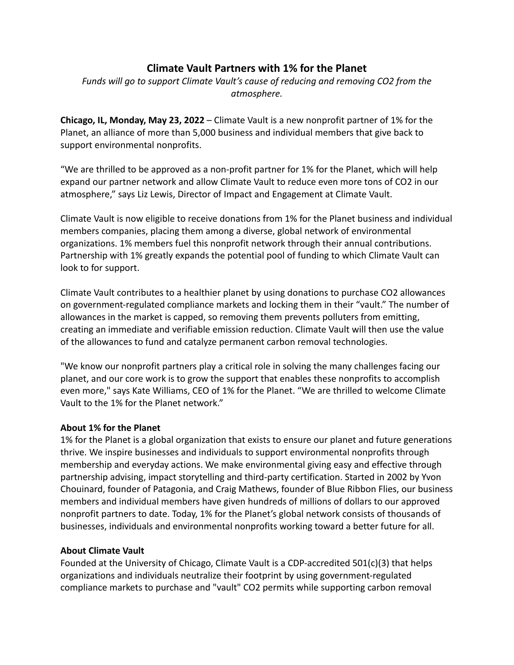## **Climate Vault Partners with 1% for the Planet**

*Funds will go to support Climate Vault's cause of reducing and removing CO2 from the atmosphere.*

**Chicago, IL, Monday, May 23, 2022** – Climate Vault is a new nonprofit partner of 1% for the Planet, an alliance of more than 5,000 business and individual members that give back to support environmental nonprofits.

"We are thrilled to be approved as a non-profit partner for 1% for the Planet, which will help expand our partner network and allow Climate Vault to reduce even more tons of CO2 in our atmosphere," says Liz Lewis, Director of Impact and Engagement at Climate Vault.

Climate Vault is now eligible to receive donations from 1% for the Planet business and individual members companies, placing them among a diverse, global network of environmental organizations. 1% members fuel this nonprofit network through their annual contributions. Partnership with 1% greatly expands the potential pool of funding to which Climate Vault can look to for support.

Climate Vault contributes to a healthier planet by using donations to purchase CO2 allowances on government-regulated compliance markets and locking them in their "vault." The number of allowances in the market is capped, so removing them prevents polluters from emitting, creating an immediate and verifiable emission reduction. Climate Vault will then use the value of the allowances to fund and catalyze permanent carbon removal technologies.

"We know our nonprofit partners play a critical role in solving the many challenges facing our planet, and our core work is to grow the support that enables these nonprofits to accomplish even more," says Kate Williams, CEO of 1% for the Planet. "We are thrilled to welcome Climate Vault to the 1% for the Planet network."

## **About 1% for the Planet**

1% for the Planet is a global organization that exists to ensure our planet and future generations thrive. We inspire businesses and individuals to support environmental nonprofits through membership and everyday actions. We make environmental giving easy and effective through partnership advising, impact storytelling and third-party certification. Started in 2002 by Yvon Chouinard, founder of Patagonia, and Craig Mathews, founder of Blue Ribbon Flies, our business members and individual members have given hundreds of millions of dollars to our approved nonprofit partners to date. Today, 1% for the Planet's global network consists of thousands of businesses, individuals and environmental nonprofits working toward a better future for all.

## **About Climate Vault**

Founded at the University of Chicago, Climate Vault is a CDP-accredited 501(c)(3) that helps organizations and individuals neutralize their footprint by using government-regulated compliance markets to purchase and "vault" CO2 permits while supporting carbon removal